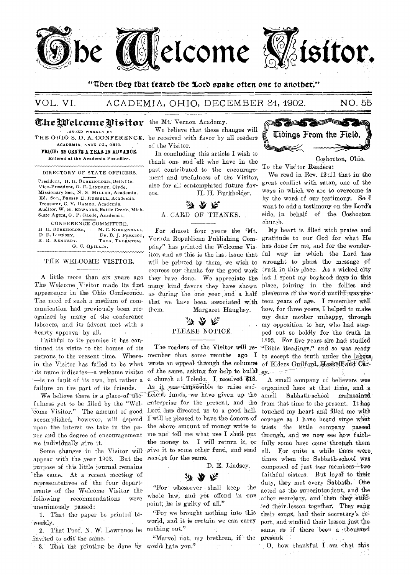

#### "Then they that feared the Lord spake often one to another."

#### VOL. VI. ACADEMIA, OHIO, DECEMBER 31, 1902.

# The Welcome Visitor the Mt. Vernon Academy.

**ISSUED WEEKLY BY** THE OHIO S. D. A. CONFERENCE, ACADEMIA. KNOX CO., OHIO, PRICE: 25 OBNTS A YEAR IN ADVANCE. Entered at the Academia Postoffice.

DIRECTORY OF STATE OFFICERS.

President, H. H. BURKHOLDER, Bellville, Vice-President, D. E. LINDSEY, Clyde. Missionary Sec., N. S. MILLER, Academia. Ed. Sec., BRSS1E E. RUSSELL, Academia. Treasurer, C. V. HAMER, Academia. Auditor, W. H. EDWARDS, Battle Creek, Mich. State Agent, G. P. Gaede, Academia.

CONFERENCE COMMITTEE. H. H. BURKHOLDER, M. C. KIRKENDALL, D. E. LINDSEY. DR. B. J. FERCIOT, R. R. KENNEDY. THOS. THORNTON. G. C. QUILLIN.

#### THE WELCOME VISITOR.

A little more than six years ago The Welcome Visitor made its first appearance in the Ohio Conference. The need of such a medium of communication had previously been recognized by many of the conference laborers, and its advent met with a hearty approval by all.

Faithful to its promise it has continued its visits to tht homes of its patrons to the present time. Wherein the Visitor has failed to be what its name indicates-a welcome visitor -is no fault of its own, but rather a failure on the part of its friends.

We believe there is a place of usefulness yet to be filled by the "Welcome Visitor." The amount of good accomplished, however, will depend upon the interst we take in the paper and the degree of encouragement we individually give it.

Some changes in the Visitor will appear with the year 1903. But the purpose of this little journal remains the same. At a recent meeting of representatives of the four departments of the Welcome Visitor the following recommendations were unanimously passed:

1. That the paper be printed biweekly.

2. That Prof. N. W. Lawrence be invited to edit the same.

3. That the printing be done by world hate you."

We believe that these changes will be received with favor by all readers of the Visitor.

In concluding this article I wish to thank one and all who have in the past contributed to the encouragement and usefulness of the Visitor, also for all contemplated future fav-H. H. Burkholder. ors.



For almost four years the 'Mt. Vernon Republican Publishing Com-gratitude to our God for what He pany" has printed the Welcome Vis- has done for me, and for the wonderitor, and as this is the last issue that ful way in which the Lord has will be printed by them, we wish to wrought to plant the message of express our thanks for the good work truth in this place. As a wicked city they have done. We appreciate the lad I spent my boyhood days in this many kind favors they have shown place, joining in the follies and us during the one year and a half pleasures of the world until I was sixthat we have been associated with teen years of age. I remember well Margaret Haughey. them.

### か み へ PLEASE NOTICE.

member that some months ago  $\mathbf{I}$ wrote an appeal through the columns of Elders Guilford, Haskell and Carof the same, asking for help to build ex. a church at Toledo. I received \$18. As it was impossible to raise sufficient funds, we have given up the enterprise for the present, and the Lord has directed us to a good hall. I will be pleased to have the donors of the above amount of money write to me and tell me what use I shall put the money to. I will return it, or give it to some other fund, and send receipt for the same.

D. E. Lindsey.



"For whosoever shall keep the whole law, and yet offend in one point, he is guilty of all."

"For we brought nothing into this world, and it is certain we can carry nothing out."

"Marvel not, my brethren, if the  $\sim$ 



Coshocton, Ohio.

To the Visitor Readers:

We read in Rev. 12:11 that in the great conflict with satan, one of the ways in which we are to overcome is by the word of our testimony. So I want to add a testimony on the Lord's side, in behalf of the Coshocton church.

My heart is filled with praise and how, for three years, I helped to make my dear mother unhappy, through my opposition to her, who had stepped out so boldly for the truth in 1893. For five years she had studied The readers of the Visitor will re-"Bible Readings," and so was ready to accept the truth under the labors.

> A small company of believers was organized here at that time, and a  $small$ Sabbath-school maintained from that time to the present. It has touched my heart and filled me with courage as I have heard since what trials the little company passed through, and we now see how faithfully some have come through them all. For quite a while there were times when the Sabbath-school was composed of just two members-two faithful sisters. But loyal to their duty, they met every Sabbath. One acted as the superintendent, and the other secretary, and then they studied their lesson together. They sang their songs, had their secretary's report, and studied their lesson just the same as if there been a thousand present.

O, how thankful I am that this  $\sim$  4 - 1

NO. 55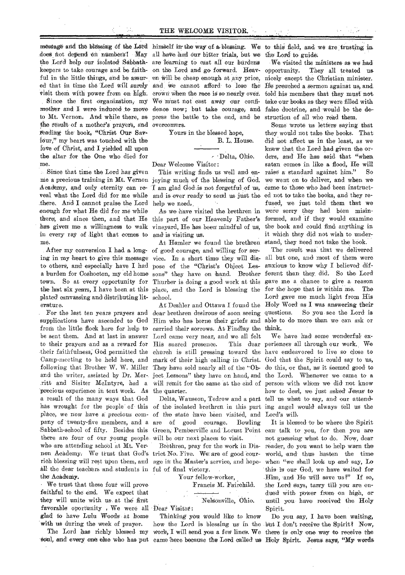does not depend on numbers! May all have had our bitter trials, but we the Lord to guide. keepers to take courage and be faith-on the Lord and go forward. Heav-

the result of a mother's prayers, and overcomers. reading the book, "Christ Our Savlour," my heart was touched with the love of Christ, and I yielded all upon the altar for the One who died for me.

Since that time the Lord has given Academy, and only eternity can reveal what the Lord did for me while there. And I cannot praise the Lord enough for what He did for *me* while there!, and since then, and that He has given me a willingness to walk in every ray of .light that comes, to me.

to others, and especially have I had pose of the "Christ's Object Lesplated canvassing and distributing lit-school. erature.

supplications have ascended to God Him who has borne their griefs and from the little flock here for help to carried their sorrows. At Findlay the think. be sent them. And at last in answer Lord came very near, and we all felt to their prayers and as a reward for His sacred presence. This dear -their faithfulness; God permitted the church is still pressing toward the have endeavored to live so close to and the writer, assisted by Dr. Mer- ject Lessons" they have on hand, and the Lord. Whenever we came to a .ritt and Sisiter McIntyre, had a Will remit for the same at the end of precious experience in tent work. As the quarter. a result of the many ways that God has wrought for the people of this of the isolated brethren in this part ing angel would always tell us the Sabbath-school of fifty. Besides this Green, Pemberville and Locust Point there are four of our young people will be our next places to visit. whoare attending school at Mt. Vernon Academy: We trust that God's trict No. Five. We are of good Courrich blessing will rest upon them, and age in the Master's service, and hopeall the dear teachers and students in ful of final victory. the Academy.

We trust that these four will prove faithful to the end. We expect that they will unite with us. at the first favorable oportunity . We were all Dear Visitor: glad to have Lulu Woods, at home with us during the week of prayer.

message and the blessing of the Lord himself in the way of a blessing. We to this field, and we are trusting in the Lord help our isolated Sabbath-are learning to cast all our burdens ful in the little things, and be assur-en Will be cheap enough at any price, ed that in time the Lord Will surely and, we cannot afford. to lose the visit them with power from on high. crown when the race is so nearly over. Since the first organization, my We must not cast away our confimother and I were induced to move dence now; but take courage, and false doctrine, and would be the deto Mt. Vernon. And while there, as press the battle to the end, and be struction of all who read them.

Yours in the blessed hope.

B. L. House.

Delta, Ohio. Dear Welcome Visitor:

me a precious training in Mt. Vernon joying much of the blessing of God. This writing finds us well and enam glad God,is not forgetful of us, and is ever ready to send us just the help we need.

> As we have visited the brethren in this part of our Heavenly Father's vineyard, He has been mindful of us, and is visiting us;

After my conversion I had a long-of good courage; and willing for sering in my heart to give this message vice. In a short time they will disa burden for Coshocton, my old home sons" they have on hand. Brother town. So at every opportunity for Thurber is doing a good work at this the last six years, I have been at this place, and the Lord is blessing the for the hope that is within me. The At Bander we found the brethren stand, they need not take the book.

. For the last ten years prayers and dear brethren desirous of soon seeing At Deshler and Ottawa I found the

place, we now have a *precious* com- of the state have been visited, and Lord's will pany of twenty-five members, and a are of good courage. Bowling

Brethren, pray for the work in Dis-

Your fellow-worker,

Francis M. Fairchild.

NelSonville, Ohio.

The Lord has richly blessed my work, I will send you a few lines. We there is only one way to receive the Thinking you would like to know

We visited the ministers as we had opportunity. They all treated us. nicely except the Christian minister. Ile-preached a Sermon against us, and. told his members. that they must not take our books as they were filled with

Some wrote us letters saying that they would not take the books. That did not affect us in the least, as we• knew that the Lord had given the orders, and He has said. that "when satan comes in like a flood, He will raise a standard against him'." So we went on to deliver, and when we came to those who had' beeninstructed not to take the books, and they refused, we just told them that we were sorry they had been misinformed, and if they would examine the: book and could find anything in it which they did not wish to under-

The result was that we delivered all but one, and most of them were anxious to know Why I believed' different than they, did. So the Lord gave me a chance to give a reason Lord gave me much light from His Holy Word as I was answering their So you see the Lord is able to do more than we can ask or

Camp-meeting to be held here, and mark of their high calling in Christ. God that the Spirit could say to us, following that Brother W. W. Miller They have sold nearly all of the "Ob- do this, or that, as it seemed good to Delta, Wauseon, Tedrow and a part tell us what to say, and our attend-We have had some wonderful ex-This dear periences all through our work. We person with whom we did not know how to deal, we just asked' Jesus-to

> It is blessed to be where the Spirit can. talk to you, for' then you are not guessing what to do. Now, dear reader, do you want to' help warn the world, and thus hasten the time when "we shall look up and say, Lo this- is our God, we have Waited for -Him, and He will save us?" If so, the Lord says, tarry till you are endued With power from on high, or until you have received the Holy<br>Spirit.

soul, and every one else who has put came here because the Lord called us Holy Spirit. Jesus says, "My words how the Lord is blessing us in the but I don't receive the Spirit? Now, Do you say, I have been waiting,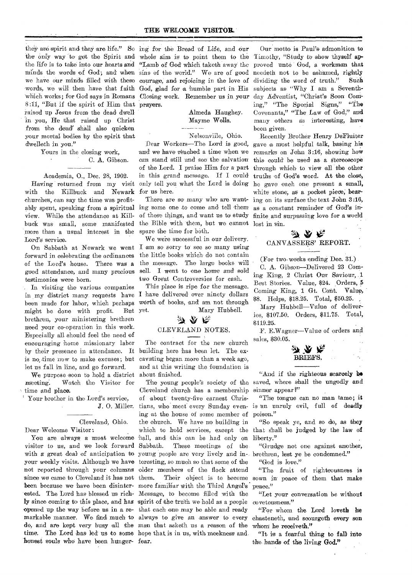they are spirit and they are life." So ing for the Bread of Life, and our the only way 'to get the Spirit and whole aim is to point them to the the life is to take into our hearts and "Lamb of God which taketh away the minds the words of God; and when sins of the world." We are of good we have our minds filled with these courage; and rejoicing in the love of words, we will then have that faith God, glad for a humble part in His Which works; for God says in Romans Closing work. Remember us in your 8:11, "But if the spirit of Him that prayers. raised up Jesus from the dead dwell in you, He that raised up Christ from the dead' shall also quicken your mortal bodies by the spirit that dwelleth in you."

#### Yours in the closing work, C. A. Gibson.

Academia, 0., Dec. 28, 1902. with the Killbuck and Newark for us here. churches, can say the time was profitview. While the attendance at Killbuck was small, some manifested more than a usual interest in the Lord's service.

forward in celebrating the ordinances of the Lord's house. There was a good attendance, and many precious testimonies were born.

In visiting the various companies in my district many, requests have I have delivered' over ninety dollars been made for labor, which perhaps might be done with profit. But brethren, your ministering brethren need your co-operation in this work. Especially all should feel the need of encouraging home missionary labor by their presence in attendance. It is no time- now to make excuses; but let us fall in line, and go forward.

We purpose soon to hold a district meeting. Watch the Visitor for time and place.

' Your brother in the' Lord's service, J. 0. Miller.

#### Cleveland, Ohio.

Dear Welcome Visitor

visitor to us, and we look forward since we came to Cleveland it has not them. 'honest souls who have been hunger-fear.

#### Almeda Haughey. Mayme Wells..

Nelsonville, Ohio.

Having returned from my visit only tell you what the Lord is doing Dear Workers—The Lord is good, and we have reached a time when we can stand still and see the salvation of the Lord. I praise Him, for a part in this grand message, If I could

ably spent, speaking from a spiritual ing some one to come and tell them There are so many who are wantof these things, and want us to' study finite.and surpassing love for a world the Bible with them, but we cannot lost in sin. spare the time for both.

On Sabbath at Newark we went I am so sorry to see so many using We were successful in our delivery. the little books which do not contain the message. The large books will sell. I went to one home and sold two Great Controversies for cash.

> This place is ripe for the message. worth of books, and am not through yet. Mary Hubbell.

## $\mathcal{Y} \mathcal{Y} \not \in$ CLEVELAND NOTES.

The contract for the new church building here has been let. The excavating began more than a week ago, and at this writing the foundation is about finished.

You are always a most welcome hall, and this can be had only on with a great deal of anticipation to young people are very lively and in-, brethren, lest ye be condemned." your weekly visits. Although we have teresting, so much so that some of the not reported through your columns older members of the flock attend been because we have been disinter-more familiar with the Third Angel's ested. The Lord has blessed us rich- Message, to become filled with the ly since coming to this place, and has spirit of the truth we hold as a people 'opened up the way before us in a re-that each one may be able and ready markable manner. We find much to always to- *give* an answer to every do, and are kept very busy all the man that asketh us a reason of the time. The Lord has led us to some hope that is in us, with meekness and. Cleveland' church has a membership of about twenty-five earnest Christians, who meet every Sunday evening at the house of some member of the church. We have no building in which to hold services, except the These meetings of the

Our motto is Paul's admonition to Timothy, "Study to show thyself approved unto God', a workman that needeth not to be ashamed, rightly dividing the word of truth." Such subjects as "Why I am a Seventhday Adventist, "Christ's Soon Coming," "The Special Signs," "The Covenants," "The Law of God," and many others as interesting, have been given.

Recently Brother Henry DeFluiter gave a most helpful talk, basing his remark's on John 3:16, showing how this could be used as a stereoscope through which to view all the other truths of God's word. At the close, he gave each one present a small, white stone, as a pocket piece; bearing on its surface the text John 3:16, as a constant reminder of God's in-

### $\chi$ CANVASSERS' REPORT.

(For two weeks ending Dec. 31.)

C. A. Gibson-Delivered 23 Coming King, 2 Christ Our Saviour, .1 Best Stories. Value, \$24. Orders, 5 Coming King, 1 Gt. Cont. Value, \$8. Helps, \$18.25. Total, \$50.25.

Mary Hubbell—Value of deliveries, \$107.50. Orders, \$11.75. Total, \$119.25-.

F. E.Wagner—Value of orders and sales, \$30.05.



The young people's society of the saved, where shall the ungodly and "And if the righteous scarcely **IA**  sinner appear?"

> "The tongue can no man tame; it is 'an unruly evil, full of deadly poison."

> "So speak ye, and so do, as they that shall be judged by the law of liberty."

> "Grudge not one against another,

"God is love."

them. Their object is to become sown in peace of them that make "The fruit of righteousness is peace."

> "Let your conversation be without covetousness."

> "For whom the Lord loveth he chasteneth, and scourgeth every son whom he receiveth."

> "It is a fearful thing to fall into the-hands of the living God."